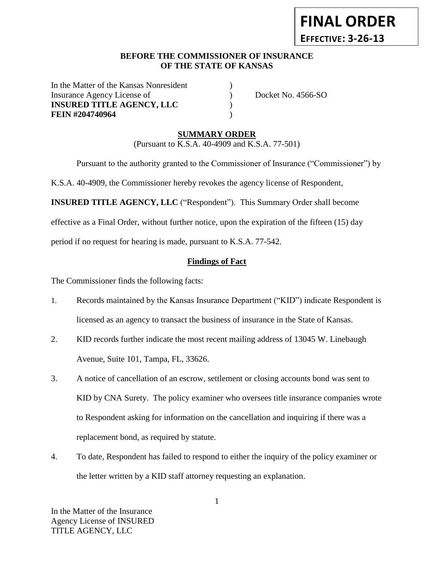# **FINAL ORDER EFFECTIVE: 3-26-13**

### **BEFORE THE COMMISSIONER OF INSURANCE** *-12***OF THE STATE OF KANSAS**

In the Matter of the Kansas Nonresident Insurance Agency License of  $Docket No. 4566-SO$ **INSURED TITLE AGENCY, LLC** ) **FEIN #204740964** (1)

# **SUMMARY ORDER**

(Pursuant to K.S.A. 40-4909 and K.S.A. 77-501)

Pursuant to the authority granted to the Commissioner of Insurance ("Commissioner") by

K.S.A. 40-4909, the Commissioner hereby revokes the agency license of Respondent,

**INSURED TITLE AGENCY, LLC** ("Respondent"). This Summary Order shall become

effective as a Final Order, without further notice, upon the expiration of the fifteen (15) day

period if no request for hearing is made, pursuant to K.S.A. 77-542.

## **Findings of Fact**

The Commissioner finds the following facts:

- 1. Records maintained by the Kansas Insurance Department ("KID") indicate Respondent is licensed as an agency to transact the business of insurance in the State of Kansas.
- 2. KID records further indicate the most recent mailing address of 13045 W. Linebaugh Avenue, Suite 101, Tampa, FL, 33626.
- 3. A notice of cancellation of an escrow, settlement or closing accounts bond was sent to KID by CNA Surety. The policy examiner who oversees title insurance companies wrote to Respondent asking for information on the cancellation and inquiring if there was a replacement bond, as required by statute.
- 4. To date, Respondent has failed to respond to either the inquiry of the policy examiner or the letter written by a KID staff attorney requesting an explanation.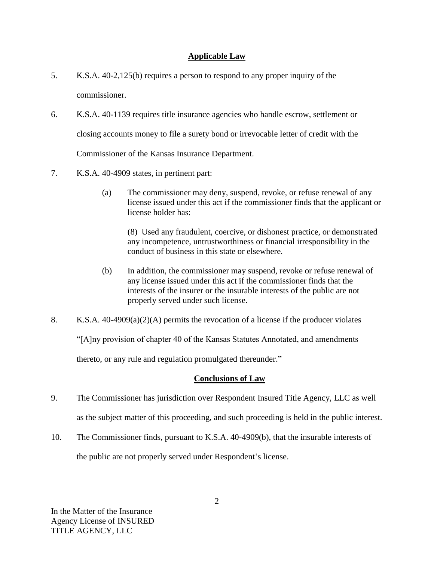## **Applicable Law**

- 5. K.S.A. 40-2,125(b) requires a person to respond to any proper inquiry of the commissioner.
- 6. K.S.A. 40-1139 requires title insurance agencies who handle escrow, settlement or closing accounts money to file a surety bond or irrevocable letter of credit with the Commissioner of the Kansas Insurance Department.
- 7. K.S.A. 40-4909 states, in pertinent part:
	- (a) The commissioner may deny, suspend, revoke, or refuse renewal of any license issued under this act if the commissioner finds that the applicant or license holder has:

(8) Used any fraudulent, coercive, or dishonest practice, or demonstrated any incompetence, untrustworthiness or financial irresponsibility in the conduct of business in this state or elsewhere.

- (b) In addition, the commissioner may suspend, revoke or refuse renewal of any license issued under this act if the commissioner finds that the interests of the insurer or the insurable interests of the public are not properly served under such license.
- 8. K.S.A. 40-4909(a)(2)(A) permits the revocation of a license if the producer violates

"[A]ny provision of chapter 40 of the Kansas Statutes Annotated, and amendments

thereto, or any rule and regulation promulgated thereunder."

#### **Conclusions of Law**

- 9. The Commissioner has jurisdiction over Respondent Insured Title Agency, LLC as well as the subject matter of this proceeding, and such proceeding is held in the public interest.
- 10. The Commissioner finds, pursuant to K.S.A. 40-4909(b), that the insurable interests of the public are not properly served under Respondent's license.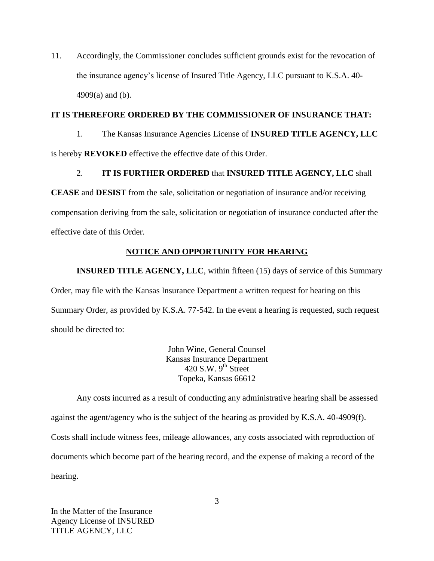11. Accordingly, the Commissioner concludes sufficient grounds exist for the revocation of the insurance agency's license of Insured Title Agency, LLC pursuant to K.S.A. 40- 4909(a) and (b).

### **IT IS THEREFORE ORDERED BY THE COMMISSIONER OF INSURANCE THAT:**

1. The Kansas Insurance Agencies License of **INSURED TITLE AGENCY, LLC**  is hereby **REVOKED** effective the effective date of this Order.

## 2. **IT IS FURTHER ORDERED** that **INSURED TITLE AGENCY, LLC** shall

**CEASE** and **DESIST** from the sale, solicitation or negotiation of insurance and/or receiving compensation deriving from the sale, solicitation or negotiation of insurance conducted after the effective date of this Order.

## **NOTICE AND OPPORTUNITY FOR HEARING**

**INSURED TITLE AGENCY, LLC**, within fifteen (15) days of service of this Summary Order, may file with the Kansas Insurance Department a written request for hearing on this Summary Order, as provided by K.S.A. 77-542. In the event a hearing is requested, such request should be directed to:

> John Wine, General Counsel Kansas Insurance Department 420 S.W.  $9<sup>th</sup>$  Street Topeka, Kansas 66612

Any costs incurred as a result of conducting any administrative hearing shall be assessed against the agent/agency who is the subject of the hearing as provided by K.S.A. 40-4909(f). Costs shall include witness fees, mileage allowances, any costs associated with reproduction of documents which become part of the hearing record, and the expense of making a record of the hearing.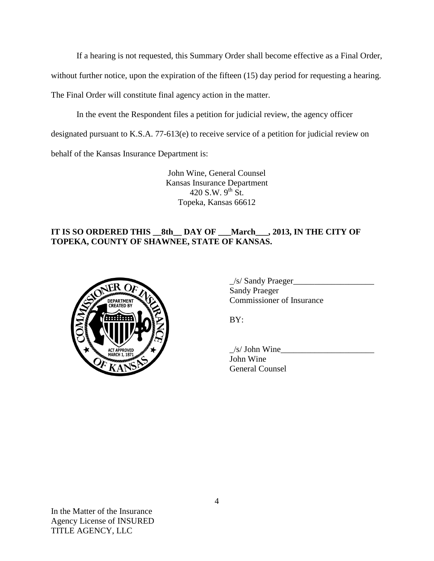If a hearing is not requested, this Summary Order shall become effective as a Final Order,

without further notice, upon the expiration of the fifteen (15) day period for requesting a hearing.

The Final Order will constitute final agency action in the matter.

In the event the Respondent files a petition for judicial review, the agency officer

designated pursuant to K.S.A. 77-613(e) to receive service of a petition for judicial review on

behalf of the Kansas Insurance Department is:

John Wine, General Counsel Kansas Insurance Department 420 S.W.  $9^{th}$  St. Topeka, Kansas 66612

## **IT IS SO ORDERED THIS \_\_8th\_\_ DAY OF \_\_\_March\_\_\_, 2013, IN THE CITY OF TOPEKA, COUNTY OF SHAWNEE, STATE OF KANSAS.**



| $\angle$ s/ Sandy Praeger |  |
|---------------------------|--|
| <b>Sandy Praeger</b>      |  |
| Commissioner of Insurance |  |

BY:

 $/s/$  John Wine John Wine General Counsel

In the Matter of the Insurance Agency License of INSURED TITLE AGENCY, LLC